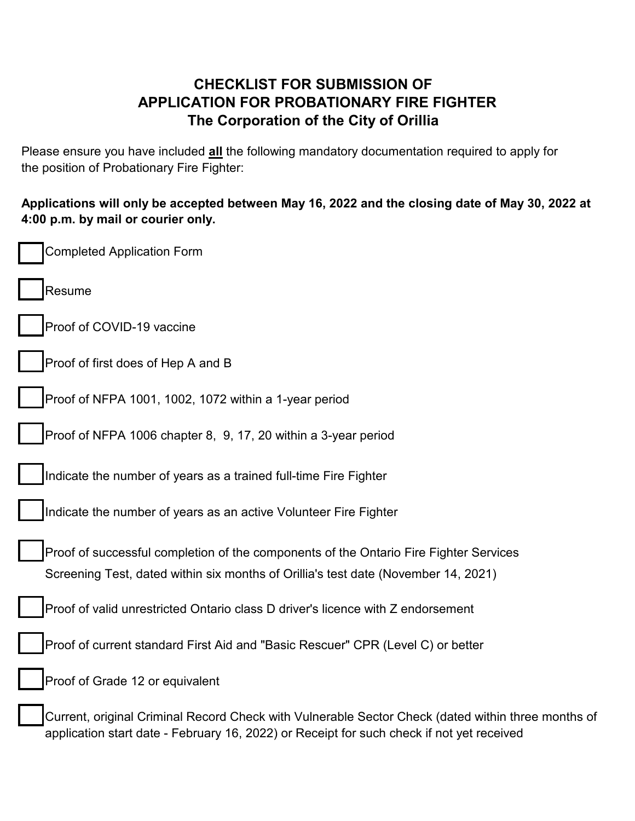## **CHECKLIST FOR SUBMISSION OF APPLICATION FOR PROBATIONARY FIRE FIGHTER The Corporation of the City of Orillia**

Please ensure you have included **all** the following mandatory documentation required to apply for the position of Probationary Fire Fighter:

**Applications will only be accepted between May 16, 2022 and the closing date of May 30, 2022 at 4:00 p.m. by mail or courier only.**

| <b>Completed Application Form</b>                                                                                                                                                               |
|-------------------------------------------------------------------------------------------------------------------------------------------------------------------------------------------------|
| Resume                                                                                                                                                                                          |
| Proof of COVID-19 vaccine                                                                                                                                                                       |
| Proof of first does of Hep A and B                                                                                                                                                              |
| Proof of NFPA 1001, 1002, 1072 within a 1-year period                                                                                                                                           |
| Proof of NFPA 1006 chapter 8, 9, 17, 20 within a 3-year period                                                                                                                                  |
| Indicate the number of years as a trained full-time Fire Fighter                                                                                                                                |
| Indicate the number of years as an active Volunteer Fire Fighter                                                                                                                                |
| Proof of successful completion of the components of the Ontario Fire Fighter Services<br>Screening Test, dated within six months of Orillia's test date (November 14, 2021)                     |
| Proof of valid unrestricted Ontario class D driver's licence with Z endorsement                                                                                                                 |
| Proof of current standard First Aid and "Basic Rescuer" CPR (Level C) or better                                                                                                                 |
| Proof of Grade 12 or equivalent                                                                                                                                                                 |
| Current, original Criminal Record Check with Vulnerable Sector Check (dated within three months of<br>application start date - February 16, 2022) or Receipt for such check if not yet received |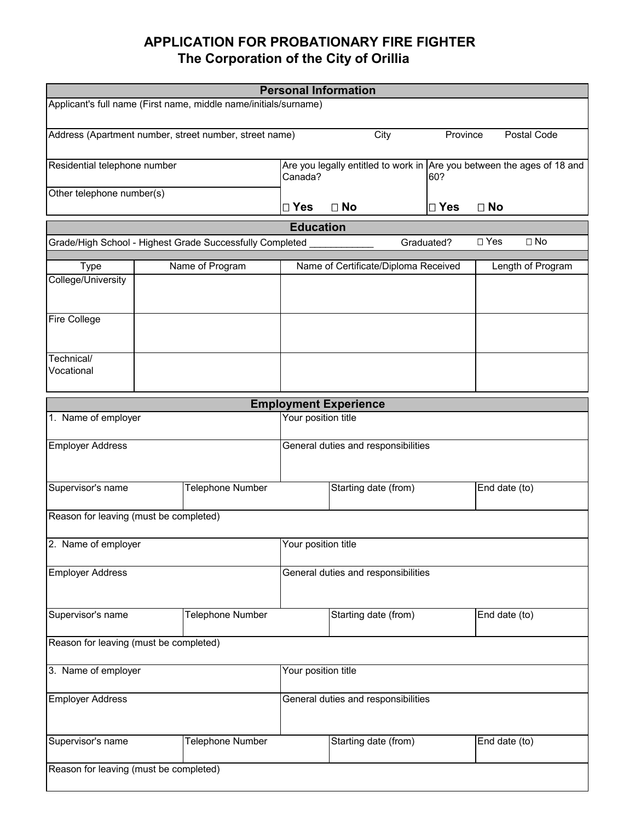## **APPLICATION FOR PROBATIONARY FIRE FIGHTER The Corporation of the City of Orillia**

| <b>Personal Information</b>                                      |  |                                                          |                                     |                                                                        |               |               |                   |
|------------------------------------------------------------------|--|----------------------------------------------------------|-------------------------------------|------------------------------------------------------------------------|---------------|---------------|-------------------|
| Applicant's full name (First name, middle name/initials/surname) |  |                                                          |                                     |                                                                        |               |               |                   |
| Address (Apartment number, street number, street name)           |  |                                                          |                                     | City                                                                   | Province      |               | Postal Code       |
| Residential telephone number                                     |  |                                                          | Canada?                             | Are you legally entitled to work in Are you between the ages of 18 and | 60?           |               |                   |
| Other telephone number(s)                                        |  |                                                          | $\square$ Yes                       | $\Box$ No                                                              | $\square$ Yes | $\Box$ No     |                   |
|                                                                  |  |                                                          | <b>Education</b>                    |                                                                        |               |               |                   |
|                                                                  |  | Grade/High School - Highest Grade Successfully Completed |                                     |                                                                        | Graduated?    | □ Yes         | $\square$ No      |
| <b>Type</b>                                                      |  | Name of Program                                          |                                     | Name of Certificate/Diploma Received                                   |               |               | Length of Program |
| College/University                                               |  |                                                          |                                     |                                                                        |               |               |                   |
| Fire College                                                     |  |                                                          |                                     |                                                                        |               |               |                   |
| Technical/<br>Vocational                                         |  |                                                          |                                     |                                                                        |               |               |                   |
|                                                                  |  |                                                          |                                     | <b>Employment Experience</b>                                           |               |               |                   |
| 1. Name of employer                                              |  |                                                          | Your position title                 |                                                                        |               |               |                   |
|                                                                  |  |                                                          |                                     |                                                                        |               |               |                   |
| <b>Employer Address</b>                                          |  |                                                          | General duties and responsibilities |                                                                        |               |               |                   |
| Supervisor's name                                                |  | Telephone Number                                         |                                     | Starting date (from)                                                   |               | End date (to) |                   |
| Reason for leaving (must be completed)                           |  |                                                          |                                     |                                                                        |               |               |                   |
| 2. Name of employer                                              |  |                                                          | Your position title                 |                                                                        |               |               |                   |
| <b>Employer Address</b>                                          |  |                                                          | General duties and responsibilities |                                                                        |               |               |                   |
| Supervisor's name<br>Telephone Number                            |  |                                                          | Starting date (from)                |                                                                        | End date (to) |               |                   |
| Reason for leaving (must be completed)                           |  |                                                          |                                     |                                                                        |               |               |                   |
| 3. Name of employer                                              |  |                                                          | Your position title                 |                                                                        |               |               |                   |
| <b>Employer Address</b>                                          |  |                                                          | General duties and responsibilities |                                                                        |               |               |                   |
| Supervisor's name                                                |  | Telephone Number                                         |                                     | Starting date (from)                                                   |               | End date (to) |                   |
| Reason for leaving (must be completed)                           |  |                                                          |                                     |                                                                        |               |               |                   |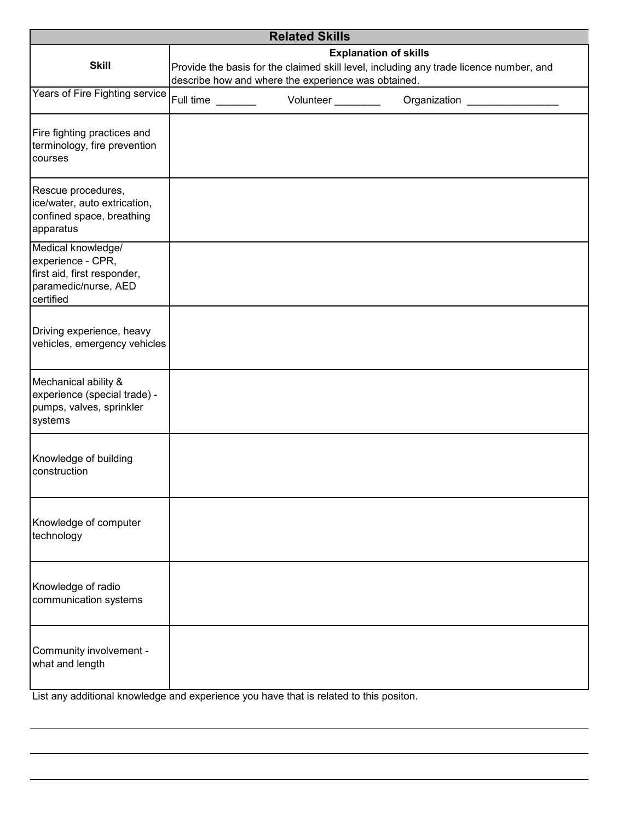| <b>Related Skills</b>                                                                                       |                                                                                                                                                                               |  |           |                              |
|-------------------------------------------------------------------------------------------------------------|-------------------------------------------------------------------------------------------------------------------------------------------------------------------------------|--|-----------|------------------------------|
| <b>Skill</b>                                                                                                | <b>Explanation of skills</b><br>Provide the basis for the claimed skill level, including any trade licence number, and<br>describe how and where the experience was obtained. |  |           |                              |
| Years of Fire Fighting service                                                                              | Full time                                                                                                                                                                     |  | Volunteer | Organization _______________ |
| Fire fighting practices and<br>terminology, fire prevention<br>courses                                      |                                                                                                                                                                               |  |           |                              |
| Rescue procedures,<br>ice/water, auto extrication,<br>confined space, breathing<br>apparatus                |                                                                                                                                                                               |  |           |                              |
| Medical knowledge/<br>experience - CPR,<br>first aid, first responder,<br>paramedic/nurse, AED<br>certified |                                                                                                                                                                               |  |           |                              |
| Driving experience, heavy<br>vehicles, emergency vehicles                                                   |                                                                                                                                                                               |  |           |                              |
| Mechanical ability &<br>experience (special trade) -<br>pumps, valves, sprinkler<br>systems                 |                                                                                                                                                                               |  |           |                              |
| Knowledge of building<br>construction                                                                       |                                                                                                                                                                               |  |           |                              |
| Knowledge of computer<br>technology                                                                         |                                                                                                                                                                               |  |           |                              |
| Knowledge of radio<br>communication systems                                                                 |                                                                                                                                                                               |  |           |                              |
| Community involvement -<br>what and length                                                                  |                                                                                                                                                                               |  |           |                              |

List any additional knowledge and experience you have that is related to this positon.